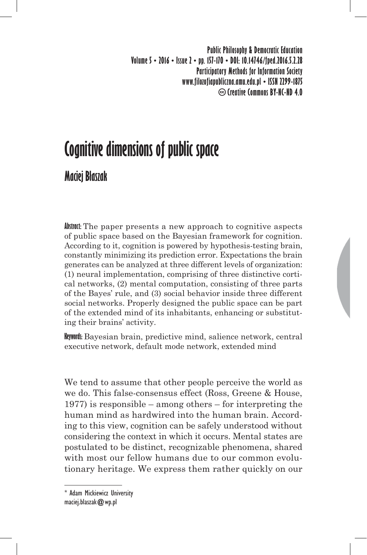**Public Philosophy & Democratic Education Volume 5 • 2016 • Issue 2 • pp. 157-170 • DOI: 10.14746/fped.2016.5.2.28 Participatory Methods for Information Society www.filozofiapubliczna.amu.edu.pl • ISSN 2299-1875 Creative Commons BY-NC-ND 4.0**

# **Cognitive dimensions of public space**

## **Maciej Błaszak**

**Abstract:** The paper presents a new approach to cognitive aspects of public space based on the Bayesian framework for cognition. According to it, cognition is powered by hypothesis-testing brain, constantly minimizing its prediction error. Expectations the brain generates can be analyzed at three different levels of organization: (1) neural implementation, comprising of three distinctive cortical networks, (2) mental computation, consisting of three parts of the Bayes' rule, and (3) social behavior inside three different social networks. Properly designed the public space can be part of the extended mind of its inhabitants, enhancing or substituting their brains' activity.

**Keywords:** Bayesian brain, predictive mind, salience network, central executive network, default mode network, extended mind

We tend to assume that other people perceive the world as we do. This false-consensus effect (Ross, Greene & House, 1977) is responsible – among others – for interpreting the human mind as hardwired into the human brain. According to this view, cognition can be safely understood without considering the context in which it occurs. Mental states are postulated to be distinct, recognizable phenomena, shared with most our fellow humans due to our common evolutionary heritage. We express them rather quickly on our

<sup>\*</sup> Adam Mickiewicz University maciej.blaszak@wp.pl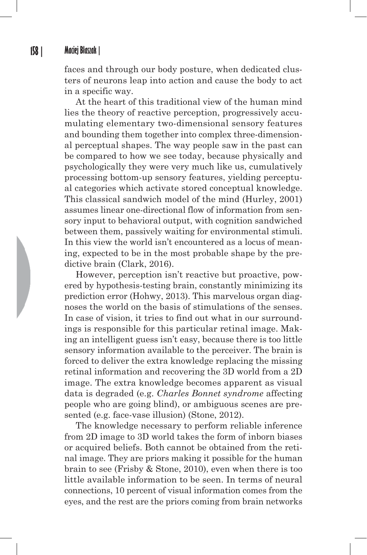#### **158 | Maciej Błaszak |**

faces and through our body posture, when dedicated clusters of neurons leap into action and cause the body to act in a specific way.

At the heart of this traditional view of the human mind lies the theory of reactive perception, progressively accumulating elementary two-dimensional sensory features and bounding them together into complex three-dimensional perceptual shapes. The way people saw in the past can be compared to how we see today, because physically and psychologically they were very much like us, cumulatively processing bottom-up sensory features, yielding perceptual categories which activate stored conceptual knowledge. This classical sandwich model of the mind (Hurley, 2001) assumes linear one-directional flow of information from sensory input to behavioral output, with cognition sandwiched between them, passively waiting for environmental stimuli. In this view the world isn't encountered as a locus of meaning, expected to be in the most probable shape by the predictive brain (Clark, 2016).

However, perception isn't reactive but proactive, powered by hypothesis-testing brain, constantly minimizing its prediction error (Hohwy, 2013). This marvelous organ diagnoses the world on the basis of stimulations of the senses. In case of vision, it tries to find out what in our surroundings is responsible for this particular retinal image. Making an intelligent guess isn't easy, because there is too little sensory information available to the perceiver. The brain is forced to deliver the extra knowledge replacing the missing retinal information and recovering the 3D world from a 2D image. The extra knowledge becomes apparent as visual data is degraded (e.g. *Charles Bonnet syndrome* affecting people who are going blind), or ambiguous scenes are presented (e.g. face-vase illusion) (Stone, 2012).

The knowledge necessary to perform reliable inference from 2D image to 3D world takes the form of inborn biases or acquired beliefs. Both cannot be obtained from the retinal image. They are priors making it possible for the human brain to see (Frisby & Stone, 2010), even when there is too little available information to be seen. In terms of neural connections, 10 percent of visual information comes from the eyes, and the rest are the priors coming from brain networks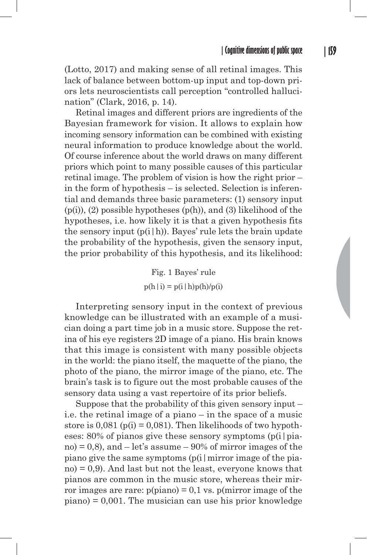(Lotto, 2017) and making sense of all retinal images. This lack of balance between bottom-up input and top-down priors lets neuroscientists call perception "controlled hallucination" (Clark, 2016, p. 14).

Retinal images and different priors are ingredients of the Bayesian framework for vision. It allows to explain how incoming sensory information can be combined with existing neural information to produce knowledge about the world. Of course inference about the world draws on many different priors which point to many possible causes of this particular retinal image. The problem of vision is how the right prior – in the form of hypothesis – is selected. Selection is inferential and demands three basic parameters: (1) sensory input  $(p(i))$ ,  $(2)$  possible hypotheses  $(p(h))$ , and  $(3)$  likelihood of the hypotheses, i.e. how likely it is that a given hypothesis fits the sensory input  $(p(i|h))$ . Bayes' rule lets the brain update the probability of the hypothesis, given the sensory input, the prior probability of this hypothesis, and its likelihood:

> Fig. 1 Bayes' rule  $p(h|i) = p(i|h)p(h)/p(i)$

Interpreting sensory input in the context of previous knowledge can be illustrated with an example of a musician doing a part time job in a music store. Suppose the retina of his eye registers 2D image of a piano. His brain knows that this image is consistent with many possible objects in the world: the piano itself, the maquette of the piano, the photo of the piano, the mirror image of the piano, etc. The brain's task is to figure out the most probable causes of the sensory data using a vast repertoire of its prior beliefs.

Suppose that the probability of this given sensory input – i.e. the retinal image of a piano – in the space of a music store is  $0.081$  (p(i) = 0.081). Then likelihoods of two hypotheses: 80% of pianos give these sensory symptoms (p(i|pia $no = 0.8$ , and  $- let's assume - 90\%$  of mirror images of the piano give the same symptoms  $(p(i | mirror image of the pia$  $no = 0.9$ . And last but not the least, everyone knows that pianos are common in the music store, whereas their mirror images are rare:  $p(piano) = 0.1$  vs.  $p(mirror image of the$  $piano$ ) = 0,001. The musician can use his prior knowledge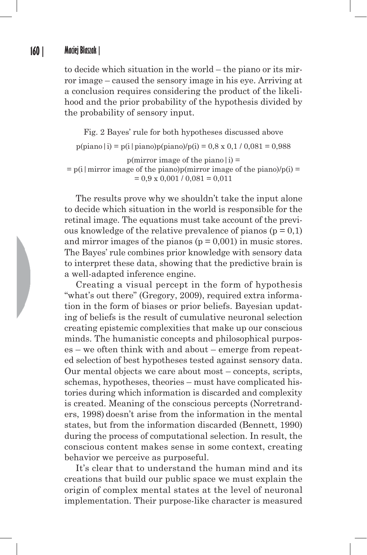#### **160 | Maciej Błaszak |**

to decide which situation in the world – the piano or its mirror image – caused the sensory image in his eye. Arriving at a conclusion requires considering the product of the likelihood and the prior probability of the hypothesis divided by the probability of sensory input.

Fig. 2 Bayes' rule for both hypotheses discussed above  $p(piano|i) = p(i|piano)p(piano)/p(i) = 0.8 \times 0.1 / 0.081 = 0.988$  $p(mirror image of the piano|i) =$  $=$  p(i | mirror image of the piano)p(mirror image of the piano)/p(i) =  $= 0.9 \times 0.001 / 0.081 = 0.011$ 

The results prove why we shouldn't take the input alone to decide which situation in the world is responsible for the retinal image. The equations must take account of the previous knowledge of the relative prevalence of pianos  $(p = 0,1)$ and mirror images of the pianos  $(p = 0.001)$  in music stores. The Bayes' rule combines prior knowledge with sensory data to interpret these data, showing that the predictive brain is a well-adapted inference engine.

Creating a visual percept in the form of hypothesis "what's out there" (Gregory, 2009), required extra information in the form of biases or prior beliefs. Bayesian updating of beliefs is the result of cumulative neuronal selection creating epistemic complexities that make up our conscious minds. The humanistic concepts and philosophical purposes – we often think with and about – emerge from repeated selection of best hypotheses tested against sensory data. Our mental objects we care about most – concepts, scripts, schemas, hypotheses, theories – must have complicated histories during which information is discarded and complexity is created. Meaning of the conscious percepts (Norretranders, 1998) doesn't arise from the information in the mental states, but from the information discarded (Bennett, 1990) during the process of computational selection. In result, the conscious content makes sense in some context, creating behavior we perceive as purposeful.

It's clear that to understand the human mind and its creations that build our public space we must explain the origin of complex mental states at the level of neuronal implementation. Their purpose-like character is measured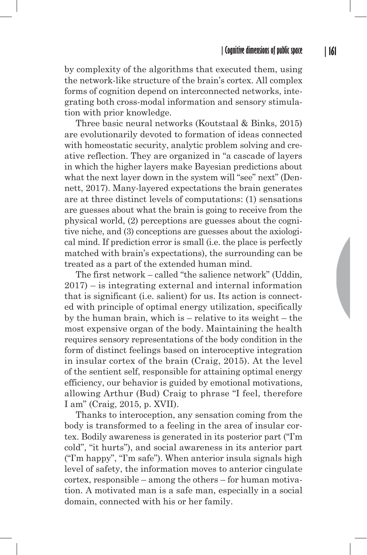by complexity of the algorithms that executed them, using the network-like structure of the brain's cortex. All complex forms of cognition depend on interconnected networks, integrating both cross-modal information and sensory stimulation with prior knowledge.

Three basic neural networks (Koutstaal & Binks, 2015) are evolutionarily devoted to formation of ideas connected with homeostatic security, analytic problem solving and creative reflection. They are organized in "a cascade of layers in which the higher layers make Bayesian predictions about what the next layer down in the system will "see" next" (Dennett, 2017). Many-layered expectations the brain generates are at three distinct levels of computations: (1) sensations are guesses about what the brain is going to receive from the physical world, (2) perceptions are guesses about the cognitive niche, and (3) conceptions are guesses about the axiological mind. If prediction error is small (i.e. the place is perfectly matched with brain's expectations), the surrounding can be treated as a part of the extended human mind.

The first network – called "the salience network" (Uddin, 2017) – is integrating external and internal information that is significant (i.e. salient) for us. Its action is connected with principle of optimal energy utilization, specifically by the human brain, which is – relative to its weight – the most expensive organ of the body. Maintaining the health requires sensory representations of the body condition in the form of distinct feelings based on interoceptive integration in insular cortex of the brain (Craig, 2015). At the level of the sentient self, responsible for attaining optimal energy efficiency, our behavior is guided by emotional motivations, allowing Arthur (Bud) Craig to phrase "I feel, therefore I am" (Craig, 2015, p. XVII).

Thanks to interoception, any sensation coming from the body is transformed to a feeling in the area of insular cortex. Bodily awareness is generated in its posterior part ("I'm cold", "it hurts"), and social awareness in its anterior part ("I'm happy", "I'm safe"). When anterior insula signals high level of safety, the information moves to anterior cingulate cortex, responsible – among the others – for human motivation. A motivated man is a safe man, especially in a social domain, connected with his or her family.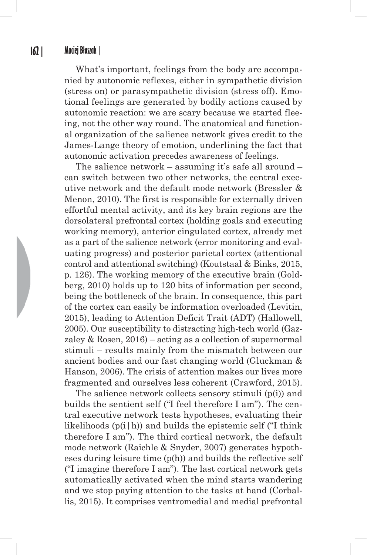What's important, feelings from the body are accompanied by autonomic reflexes, either in sympathetic division (stress on) or parasympathetic division (stress off). Emotional feelings are generated by bodily actions caused by autonomic reaction: we are scary because we started fleeing, not the other way round. The anatomical and functional organization of the salience network gives credit to the James-Lange theory of emotion, underlining the fact that autonomic activation precedes awareness of feelings.

The salience network – assuming it's safe all around – can switch between two other networks, the central executive network and the default mode network (Bressler & Menon, 2010). The first is responsible for externally driven effortful mental activity, and its key brain regions are the dorsolateral prefrontal cortex (holding goals and executing working memory), anterior cingulated cortex, already met as a part of the salience network (error monitoring and evaluating progress) and posterior parietal cortex (attentional control and attentional switching) (Koutstaal & Binks, 2015, p. 126). The working memory of the executive brain (Goldberg, 2010) holds up to 120 bits of information per second, being the bottleneck of the brain. In consequence, this part of the cortex can easily be information overloaded (Levitin, 2015), leading to Attention Deficit Trait (ADT) (Hallowell, 2005). Our susceptibility to distracting high-tech world (Gazzaley & Rosen, 2016) – acting as a collection of supernormal stimuli – results mainly from the mismatch between our ancient bodies and our fast changing world (Gluckman & Hanson, 2006). The crisis of attention makes our lives more fragmented and ourselves less coherent (Crawford, 2015).

The salience network collects sensory stimuli (p(i)) and builds the sentient self ("I feel therefore I am"). The central executive network tests hypotheses, evaluating their likelihoods  $(p(i|h))$  and builds the epistemic self ("I think therefore I am"). The third cortical network, the default mode network (Raichle & Snyder, 2007) generates hypotheses during leisure time  $(p(h))$  and builds the reflective self ("I imagine therefore I am"). The last cortical network gets automatically activated when the mind starts wandering and we stop paying attention to the tasks at hand (Corballis, 2015). It comprises ventromedial and medial prefrontal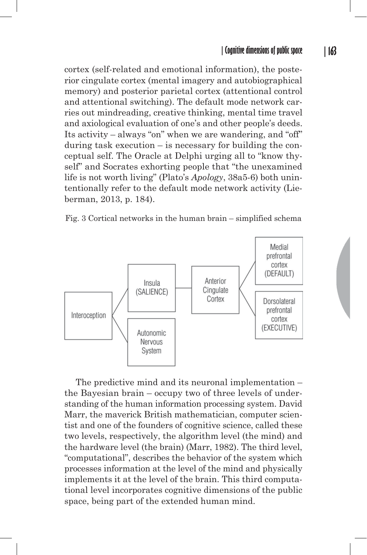cortex (self-related and emotional information), the posterior cingulate cortex (mental imagery and autobiographical memory) and posterior parietal cortex (attentional control and attentional switching). The default mode network carries out mindreading, creative thinking, mental time travel and axiological evaluation of one's and other people's deeds. Its activity – always "on" when we are wandering, and "off" during task execution – is necessary for building the conceptual self. The Oracle at Delphi urging all to "know thyself" and Socrates exhorting people that "the unexamined life is not worth living" (Plato's *Apology*, 38a5-6) both unintentionally refer to the default mode network activity (Lieberman, 2013, p. 184).





The predictive mind and its neuronal implementation – the Bayesian brain – occupy two of three levels of understanding of the human information processing system. David Marr, the maverick British mathematician, computer scientist and one of the founders of cognitive science, called these two levels, respectively, the algorithm level (the mind) and the hardware level (the brain) (Marr, 1982). The third level, "computational", describes the behavior of the system which processes information at the level of the mind and physically implements it at the level of the brain. This third computational level incorporates cognitive dimensions of the public space, being part of the extended human mind.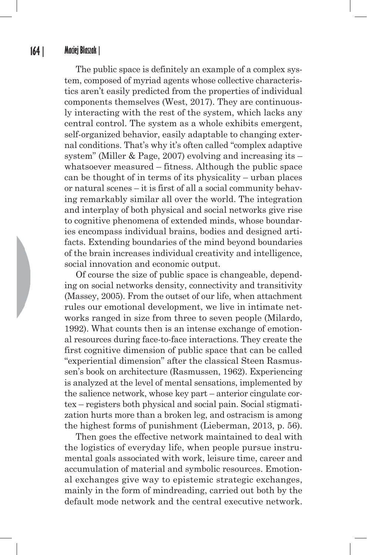The public space is definitely an example of a complex system, composed of myriad agents whose collective characteristics aren't easily predicted from the properties of individual components themselves (West, 2017). They are continuously interacting with the rest of the system, which lacks any central control. The system as a whole exhibits emergent, self-organized behavior, easily adaptable to changing external conditions. That's why it's often called "complex adaptive system" (Miller  $& Page, 2007$ ) evolving and increasing its – whatsoever measured – fitness. Although the public space can be thought of in terms of its physicality – urban places or natural scenes – it is first of all a social community behaving remarkably similar all over the world. The integration and interplay of both physical and social networks give rise to cognitive phenomena of extended minds, whose boundaries encompass individual brains, bodies and designed artifacts. Extending boundaries of the mind beyond boundaries of the brain increases individual creativity and intelligence, social innovation and economic output.

Of course the size of public space is changeable, depending on social networks density, connectivity and transitivity (Massey, 2005). From the outset of our life, when attachment rules our emotional development, we live in intimate networks ranged in size from three to seven people (Milardo, 1992). What counts then is an intense exchange of emotional resources during face-to-face interactions. They create the first cognitive dimension of public space that can be called "experiential dimension" after the classical Steen Rasmussen's book on architecture (Rasmussen, 1962). Experiencing is analyzed at the level of mental sensations, implemented by the salience network, whose key part – anterior cingulate cortex – registers both physical and social pain. Social stigmatization hurts more than a broken leg, and ostracism is among the highest forms of punishment (Lieberman, 2013, p. 56).

Then goes the effective network maintained to deal with the logistics of everyday life, when people pursue instrumental goals associated with work, leisure time, career and accumulation of material and symbolic resources. Emotional exchanges give way to epistemic strategic exchanges, mainly in the form of mindreading, carried out both by the default mode network and the central executive network.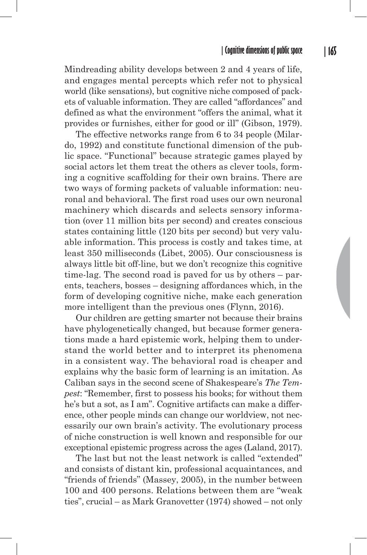Mindreading ability develops between 2 and 4 years of life, and engages mental percepts which refer not to physical world (like sensations), but cognitive niche composed of packets of valuable information. They are called "affordances" and defined as what the environment "offers the animal, what it provides or furnishes, either for good or ill" (Gibson, 1979).

The effective networks range from 6 to 34 people (Milardo, 1992) and constitute functional dimension of the public space. "Functional" because strategic games played by social actors let them treat the others as clever tools, forming a cognitive scaffolding for their own brains. There are two ways of forming packets of valuable information: neuronal and behavioral. The first road uses our own neuronal machinery which discards and selects sensory information (over 11 million bits per second) and creates conscious states containing little (120 bits per second) but very valuable information. This process is costly and takes time, at least 350 milliseconds (Libet, 2005). Our consciousness is always little bit off-line, but we don't recognize this cognitive time-lag. The second road is paved for us by others – parents, teachers, bosses – designing affordances which, in the form of developing cognitive niche, make each generation more intelligent than the previous ones (Flynn, 2016).

Our children are getting smarter not because their brains have phylogenetically changed, but because former generations made a hard epistemic work, helping them to understand the world better and to interpret its phenomena in a consistent way. The behavioral road is cheaper and explains why the basic form of learning is an imitation. As Caliban says in the second scene of Shakespeare's *The Tempest*: "Remember, first to possess his books; for without them he's but a sot, as I am". Cognitive artifacts can make a difference, other people minds can change our worldview, not necessarily our own brain's activity. The evolutionary process of niche construction is well known and responsible for our exceptional epistemic progress across the ages (Laland, 2017).

The last but not the least network is called "extended" and consists of distant kin, professional acquaintances, and "friends of friends" (Massey, 2005), in the number between 100 and 400 persons. Relations between them are "weak ties", crucial – as Mark Granovetter (1974) showed – not only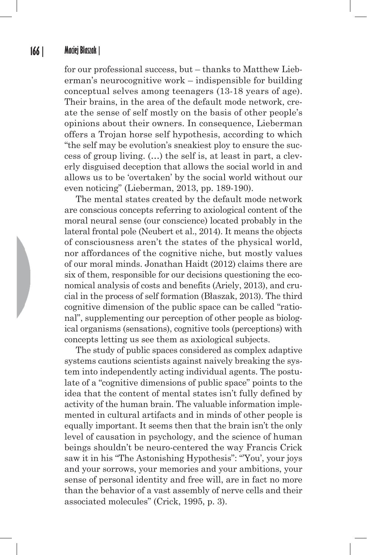#### **166 | Maciej Błaszak |**

for our professional success, but – thanks to Matthew Lieberman's neurocognitive work – indispensible for building conceptual selves among teenagers (13-18 years of age). Their brains, in the area of the default mode network, create the sense of self mostly on the basis of other people's opinions about their owners. In consequence, Lieberman offers a Trojan horse self hypothesis, according to which "the self may be evolution's sneakiest ploy to ensure the success of group living. (…) the self is, at least in part, a cleverly disguised deception that allows the social world in and allows us to be 'overtaken' by the social world without our even noticing" (Lieberman, 2013, pp. 189-190).

The mental states created by the default mode network are conscious concepts referring to axiological content of the moral neural sense (our conscience) located probably in the lateral frontal pole (Neubert et al., 2014). It means the objects of consciousness aren't the states of the physical world, nor affordances of the cognitive niche, but mostly values of our moral minds. Jonathan Haidt (2012) claims there are six of them, responsible for our decisions questioning the economical analysis of costs and benefits (Ariely, 2013), and crucial in the process of self formation (Błaszak, 2013). The third cognitive dimension of the public space can be called "rational", supplementing our perception of other people as biological organisms (sensations), cognitive tools (perceptions) with concepts letting us see them as axiological subjects.

The study of public spaces considered as complex adaptive systems cautions scientists against naively breaking the system into independently acting individual agents. The postulate of a "cognitive dimensions of public space" points to the idea that the content of mental states isn't fully defined by activity of the human brain. The valuable information implemented in cultural artifacts and in minds of other people is equally important. It seems then that the brain isn't the only level of causation in psychology, and the science of human beings shouldn't be neuro-centered the way Francis Crick saw it in his "The Astonishing Hypothesis": "'You', your joys and your sorrows, your memories and your ambitions, your sense of personal identity and free will, are in fact no more than the behavior of a vast assembly of nerve cells and their associated molecules" (Crick, 1995, p. 3).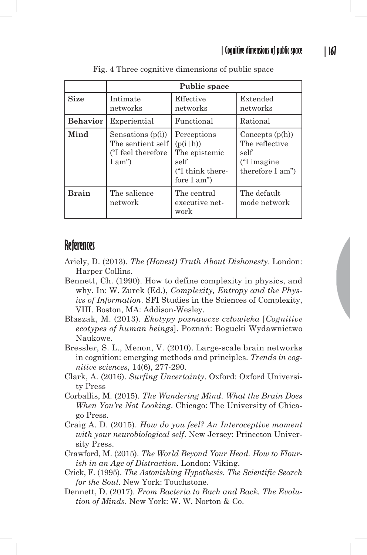|                 | Public space                                                             |                                                                                     |                                                                                |
|-----------------|--------------------------------------------------------------------------|-------------------------------------------------------------------------------------|--------------------------------------------------------------------------------|
| <b>Size</b>     | Intimate<br>networks                                                     | Effective<br>networks                                                               | Extended<br>networks                                                           |
| <b>Behavior</b> | Experiential                                                             | Functional                                                                          | Rational                                                                       |
| Mind            | Sensations $(p(i))$<br>The sentient self<br>("I feel therefore<br>I am") | Perceptions<br>(p(i h))<br>The epistemic<br>self<br>("I think there-<br>fore I am") | Concepts $(p(h))$<br>The reflective<br>self<br>("I imagine<br>therefore I am") |
| <b>Brain</b>    | The salience<br>network                                                  | The central<br>executive net-<br>work                                               | The default<br>mode network                                                    |

Fig. 4 Three cognitive dimensions of public space

### **References**

- Ariely, D. (2013). *The (Honest) Truth About Dishonesty*. London: Harper Collins.
- Bennett, Ch. (1990). How to define complexity in physics, and why. In: W. Zurek (Ed.), *Complexity, Entropy and the Physics of Information*. SFI Studies in the Sciences of Complexity, VIII. Boston, MA: Addison-Wesley.
- Błaszak, M. (2013). *Ekotypy poznawcze człowieka* [*Cognitive ecotypes of human beings*]. Poznań: Bogucki Wydawnictwo Naukowe.
- Bressler, S. L., Menon, V. (2010). Large-scale brain networks in cognition: emerging methods and principles. *Trends in cognitive sciences*, 14(6), 277-290.
- Clark, A. (2016). *Surfing Uncertainty*. Oxford: Oxford University Press
- Corballis, M. (2015). *The Wandering Mind. What the Brain Does When You're Not Looking*. Chicago: The University of Chicago Press.
- Craig A. D. (2015). *How do you feel? An Interoceptive moment with your neurobiological self*. New Jersey: Princeton University Press.
- Crawford, M. (2015). *The World Beyond Your Head. How to Flourish in an Age of Distraction*. London: Viking.
- Crick, F. (1995). *The Astonishing Hypothesis. The Scientific Search for the Soul.* New York: Touchstone.
- Dennett, D. (2017). *From Bacteria to Bach and Back. The Evolution of Minds*. New York: W. W. Norton & Co.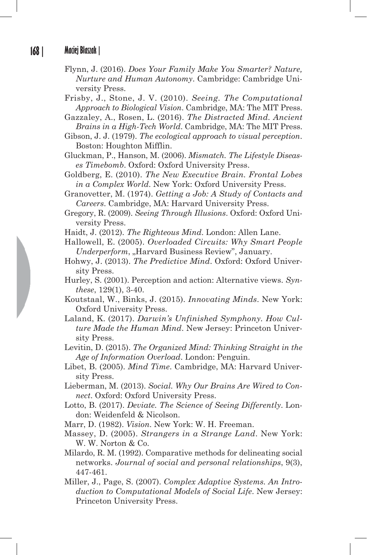- Flynn, J. (2016). *Does Your Family Make You Smarter? Nature, Nurture and Human Autonomy*. Cambridge: Cambridge University Press.
- Frisby, J., Stone, J. V. (2010). *Seeing. The Computational Approach to Biological Vision*. Cambridge, MA: The MIT Press.
- Gazzaley, A., Rosen, L. (2016). *The Distracted Mind. Ancient Brains in a High-Tech World*. Cambridge, MA: The MIT Press.
- Gibson, J. J. (1979). *The ecological approach to visual perception*. Boston: Houghton Mifflin.
- Gluckman, P., Hanson, M. (2006). *Mismatch. The Lifestyle Diseases Timebomb*. Oxford: Oxford University Press.
- Goldberg, E. (2010). *The New Executive Brain. Frontal Lobes in a Complex World*. New York: Oxford University Press.
- Granovetter, M. (1974). *Getting a Job: A Study of Contacts and Careers*. Cambridge, MA: Harvard University Press.
- Gregory, R. (2009). *Seeing Through Illusions*. Oxford: Oxford University Press.
- Haidt, J. (2012). *The Righteous Mind*. London: Allen Lane.
- Hallowell, E. (2005). *Overloaded Circuits: Why Smart People Underperform*, "Harvard Business Review", January.
- Hohwy, J. (2013). *The Predictive Mind*. Oxford: Oxford University Press.
- Hurley, S. (2001). Perception and action: Alternative views. *Synthese*, 129(1), 3-40.
- Koutstaal, W., Binks, J. (2015). *Innovating Minds*. New York: Oxford University Press.
- Laland, K. (2017). *Darwin's Unfinished Symphony. How Culture Made the Human Mind*. New Jersey: Princeton University Press.
- Levitin, D. (2015). *The Organized Mind: Thinking Straight in the Age of Information Overload*. London: Penguin.
- Libet, B. (2005). *Mind Time*. Cambridge, MA: Harvard University Press.
- Lieberman, M. (2013). *Social. Why Our Brains Are Wired to Connect*. Oxford: Oxford University Press.
- Lotto, B. (2017). *Deviate. The Science of Seeing Differently*. London: Weidenfeld & Nicolson.
- Marr, D. (1982). *Vision*. New York: W. H. Freeman.
- Massey, D. (2005). *Strangers in a Strange Land*. New York: W. W. Norton & Co.
- Milardo, R. M. (1992). Comparative methods for delineating social networks. *Journal of social and personal relationships*, 9(3), 447-461.
- Miller, J., Page, S. (2007). *Complex Adaptive Systems. An Introduction to Computational Models of Social Life*. New Jersey: Princeton University Press.